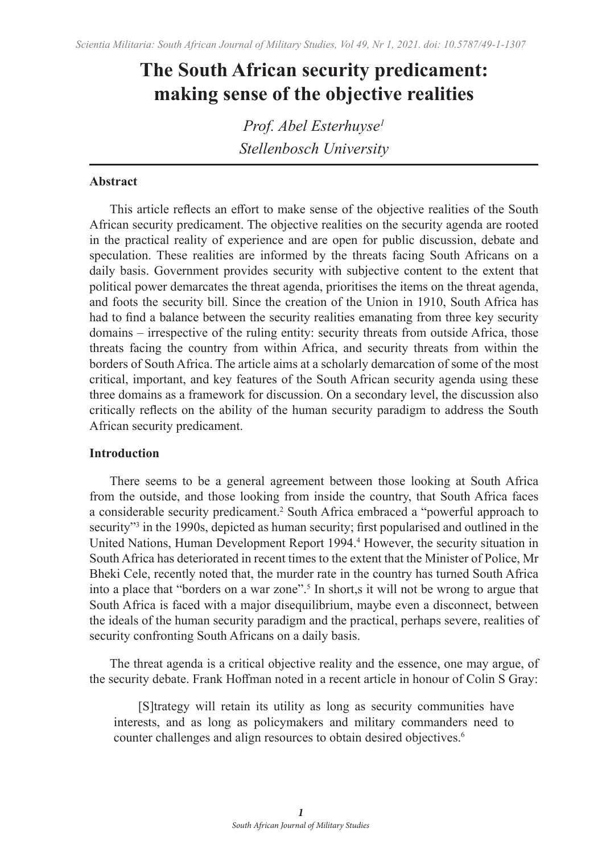# **The South African security predicament: making sense of the objective realities**

*Prof. Abel Esterhuyse1 Stellenbosch University*

# **Abstract**

This article reflects an effort to make sense of the objective realities of the South African security predicament. The objective realities on the security agenda are rooted in the practical reality of experience and are open for public discussion, debate and speculation. These realities are informed by the threats facing South Africans on a daily basis. Government provides security with subjective content to the extent that political power demarcates the threat agenda, prioritises the items on the threat agenda, and foots the security bill. Since the creation of the Union in 1910, South Africa has had to find a balance between the security realities emanating from three key security domains – irrespective of the ruling entity: security threats from outside Africa, those threats facing the country from within Africa, and security threats from within the borders of South Africa. The article aims at a scholarly demarcation of some of the most critical, important, and key features of the South African security agenda using these three domains as a framework for discussion. On a secondary level, the discussion also critically reflects on the ability of the human security paradigm to address the South African security predicament.

### **Introduction**

There seems to be a general agreement between those looking at South Africa from the outside, and those looking from inside the country, that South Africa faces a considerable security predicament.<sup>2</sup> South Africa embraced a "powerful approach to security"<sup>3</sup> in the 1990s, depicted as human security; first popularised and outlined in the United Nations, Human Development Report 1994.<sup>4</sup> However, the security situation in South Africa has deteriorated in recent times to the extent that the Minister of Police, Mr Bheki Cele, recently noted that, the murder rate in the country has turned South Africa into a place that "borders on a war zone".<sup>5</sup> In short,s it will not be wrong to argue that South Africa is faced with a major disequilibrium, maybe even a disconnect, between the ideals of the human security paradigm and the practical, perhaps severe, realities of security confronting South Africans on a daily basis.

The threat agenda is a critical objective reality and the essence, one may argue, of the security debate. Frank Hoffman noted in a recent article in honour of Colin S Gray:

[S]trategy will retain its utility as long as security communities have interests, and as long as policymakers and military commanders need to counter challenges and align resources to obtain desired objectives.<sup>6</sup>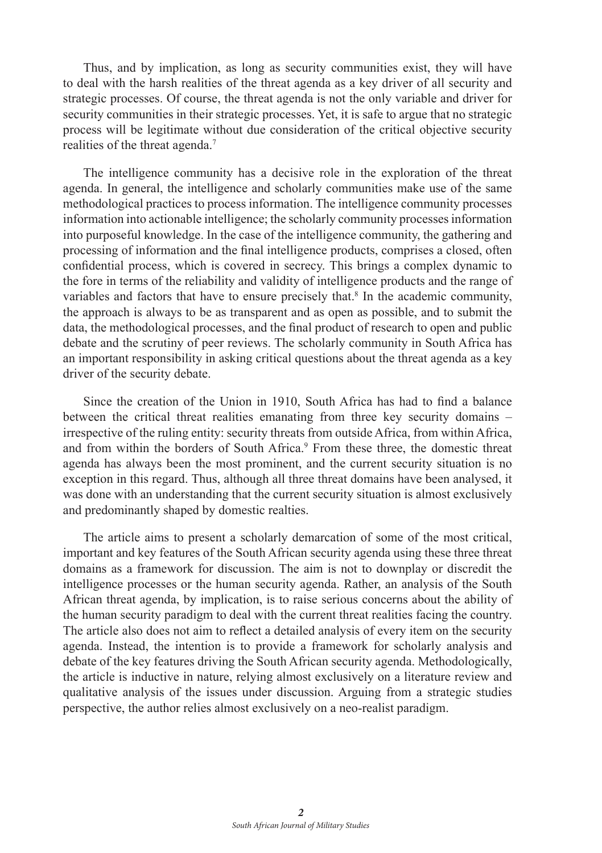Thus, and by implication, as long as security communities exist, they will have to deal with the harsh realities of the threat agenda as a key driver of all security and strategic processes. Of course, the threat agenda is not the only variable and driver for security communities in their strategic processes. Yet, it is safe to argue that no strategic process will be legitimate without due consideration of the critical objective security realities of the threat agenda.<sup>7</sup>

The intelligence community has a decisive role in the exploration of the threat agenda. In general, the intelligence and scholarly communities make use of the same methodological practices to process information. The intelligence community processes information into actionable intelligence; the scholarly community processes information into purposeful knowledge. In the case of the intelligence community, the gathering and processing of information and the final intelligence products, comprises a closed, often confidential process, which is covered in secrecy. This brings a complex dynamic to the fore in terms of the reliability and validity of intelligence products and the range of variables and factors that have to ensure precisely that.<sup>8</sup> In the academic community, the approach is always to be as transparent and as open as possible, and to submit the data, the methodological processes, and the final product of research to open and public debate and the scrutiny of peer reviews. The scholarly community in South Africa has an important responsibility in asking critical questions about the threat agenda as a key driver of the security debate.

Since the creation of the Union in 1910, South Africa has had to find a balance between the critical threat realities emanating from three key security domains – irrespective of the ruling entity: security threats from outside Africa, from within Africa, and from within the borders of South Africa.<sup>9</sup> From these three, the domestic threat agenda has always been the most prominent, and the current security situation is no exception in this regard. Thus, although all three threat domains have been analysed, it was done with an understanding that the current security situation is almost exclusively and predominantly shaped by domestic realties.

The article aims to present a scholarly demarcation of some of the most critical, important and key features of the South African security agenda using these three threat domains as a framework for discussion. The aim is not to downplay or discredit the intelligence processes or the human security agenda. Rather, an analysis of the South African threat agenda, by implication, is to raise serious concerns about the ability of the human security paradigm to deal with the current threat realities facing the country. The article also does not aim to reflect a detailed analysis of every item on the security agenda. Instead, the intention is to provide a framework for scholarly analysis and debate of the key features driving the South African security agenda. Methodologically, the article is inductive in nature, relying almost exclusively on a literature review and qualitative analysis of the issues under discussion. Arguing from a strategic studies perspective, the author relies almost exclusively on a neo-realist paradigm.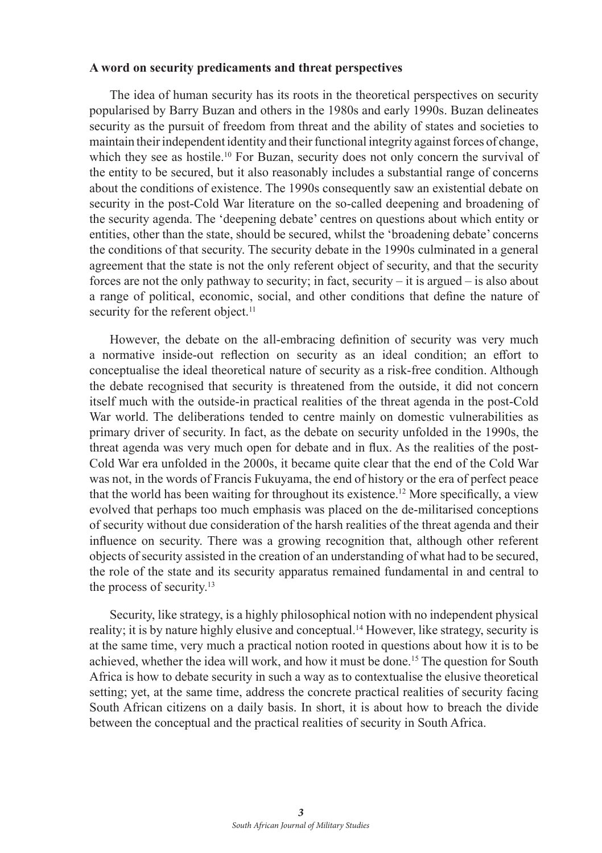## **A word on security predicaments and threat perspectives**

The idea of human security has its roots in the theoretical perspectives on security popularised by Barry Buzan and others in the 1980s and early 1990s. Buzan delineates security as the pursuit of freedom from threat and the ability of states and societies to maintain their independent identity and their functional integrity against forces of change, which they see as hostile.<sup>10</sup> For Buzan, security does not only concern the survival of the entity to be secured, but it also reasonably includes a substantial range of concerns about the conditions of existence. The 1990s consequently saw an existential debate on security in the post-Cold War literature on the so-called deepening and broadening of the security agenda. The 'deepening debate' centres on questions about which entity or entities, other than the state, should be secured, whilst the 'broadening debate' concerns the conditions of that security. The security debate in the 1990s culminated in a general agreement that the state is not the only referent object of security, and that the security forces are not the only pathway to security; in fact, security – it is argued – is also about a range of political, economic, social, and other conditions that define the nature of security for the referent object.<sup>11</sup>

However, the debate on the all-embracing definition of security was very much a normative inside-out reflection on security as an ideal condition; an effort to conceptualise the ideal theoretical nature of security as a risk-free condition. Although the debate recognised that security is threatened from the outside, it did not concern itself much with the outside-in practical realities of the threat agenda in the post-Cold War world. The deliberations tended to centre mainly on domestic vulnerabilities as primary driver of security. In fact, as the debate on security unfolded in the 1990s, the threat agenda was very much open for debate and in flux. As the realities of the post-Cold War era unfolded in the 2000s, it became quite clear that the end of the Cold War was not, in the words of Francis Fukuyama, the end of history or the era of perfect peace that the world has been waiting for throughout its existence.12 More specifically, a view evolved that perhaps too much emphasis was placed on the de-militarised conceptions of security without due consideration of the harsh realities of the threat agenda and their influence on security. There was a growing recognition that, although other referent objects of security assisted in the creation of an understanding of what had to be secured, the role of the state and its security apparatus remained fundamental in and central to the process of security.<sup>13</sup>

Security, like strategy, is a highly philosophical notion with no independent physical reality; it is by nature highly elusive and conceptual.<sup>14</sup> However, like strategy, security is at the same time, very much a practical notion rooted in questions about how it is to be achieved, whether the idea will work, and how it must be done.15 The question for South Africa is how to debate security in such a way as to contextualise the elusive theoretical setting; yet, at the same time, address the concrete practical realities of security facing South African citizens on a daily basis. In short, it is about how to breach the divide between the conceptual and the practical realities of security in South Africa.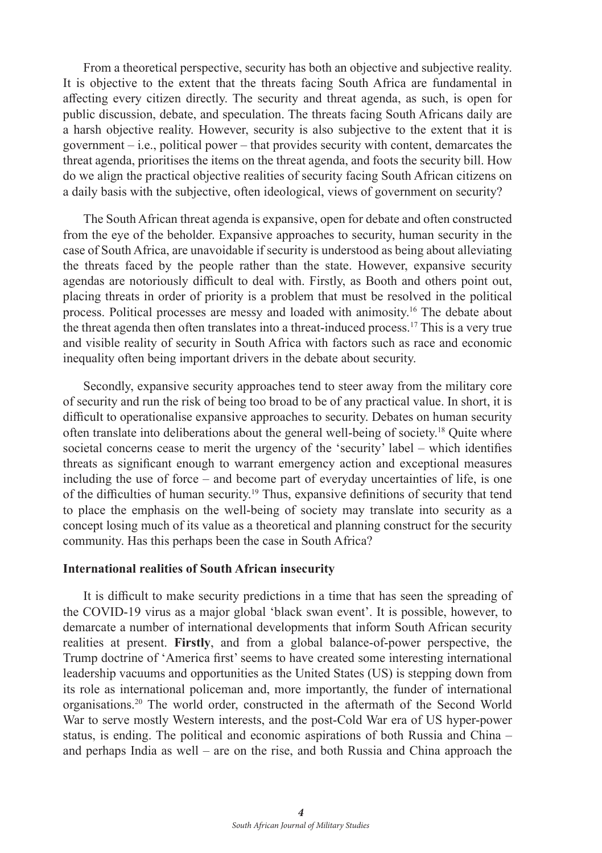From a theoretical perspective, security has both an objective and subjective reality. It is objective to the extent that the threats facing South Africa are fundamental in affecting every citizen directly. The security and threat agenda, as such, is open for public discussion, debate, and speculation. The threats facing South Africans daily are a harsh objective reality. However, security is also subjective to the extent that it is government – i.e., political power – that provides security with content, demarcates the threat agenda, prioritises the items on the threat agenda, and foots the security bill. How do we align the practical objective realities of security facing South African citizens on a daily basis with the subjective, often ideological, views of government on security?

The South African threat agenda is expansive, open for debate and often constructed from the eye of the beholder. Expansive approaches to security, human security in the case of South Africa, are unavoidable if security is understood as being about alleviating the threats faced by the people rather than the state. However, expansive security agendas are notoriously difficult to deal with. Firstly, as Booth and others point out, placing threats in order of priority is a problem that must be resolved in the political process. Political processes are messy and loaded with animosity.16 The debate about the threat agenda then often translates into a threat-induced process.17 This is a very true and visible reality of security in South Africa with factors such as race and economic inequality often being important drivers in the debate about security.

Secondly, expansive security approaches tend to steer away from the military core of security and run the risk of being too broad to be of any practical value. In short, it is difficult to operationalise expansive approaches to security. Debates on human security often translate into deliberations about the general well-being of society.18 Quite where societal concerns cease to merit the urgency of the 'security' label – which identifies threats as significant enough to warrant emergency action and exceptional measures including the use of force – and become part of everyday uncertainties of life, is one of the difficulties of human security.<sup>19</sup> Thus, expansive definitions of security that tend to place the emphasis on the well-being of society may translate into security as a concept losing much of its value as a theoretical and planning construct for the security community. Has this perhaps been the case in South Africa?

## **International realities of South African insecurity**

It is difficult to make security predictions in a time that has seen the spreading of the COVID-19 virus as a major global 'black swan event'. It is possible, however, to demarcate a number of international developments that inform South African security realities at present. **Firstly**, and from a global balance-of-power perspective, the Trump doctrine of 'America first' seems to have created some interesting international leadership vacuums and opportunities as the United States (US) is stepping down from its role as international policeman and, more importantly, the funder of international organisations.20 The world order, constructed in the aftermath of the Second World War to serve mostly Western interests, and the post-Cold War era of US hyper-power status, is ending. The political and economic aspirations of both Russia and China – and perhaps India as well – are on the rise, and both Russia and China approach the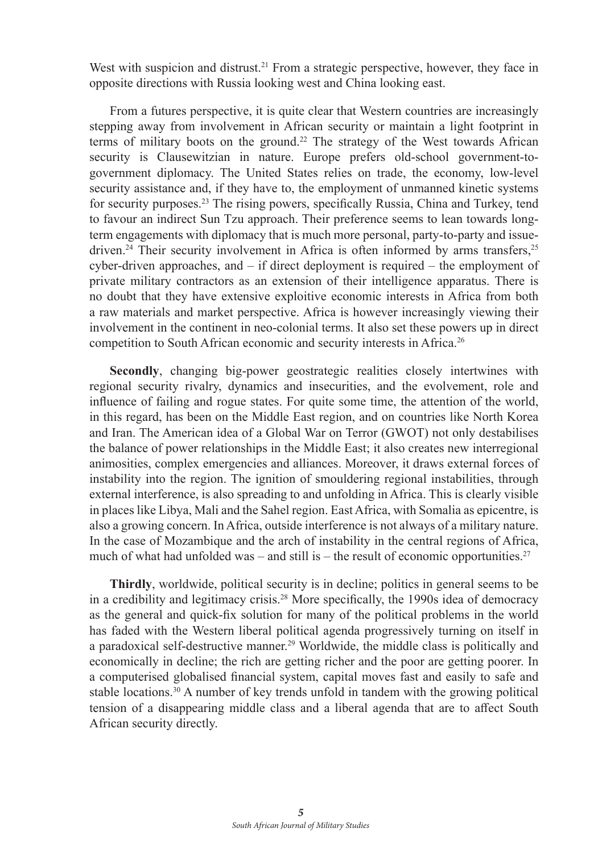West with suspicion and distrust.<sup>21</sup> From a strategic perspective, however, they face in opposite directions with Russia looking west and China looking east.

From a futures perspective, it is quite clear that Western countries are increasingly stepping away from involvement in African security or maintain a light footprint in terms of military boots on the ground.<sup>22</sup> The strategy of the West towards African security is Clausewitzian in nature. Europe prefers old-school government-togovernment diplomacy. The United States relies on trade, the economy, low-level security assistance and, if they have to, the employment of unmanned kinetic systems for security purposes.<sup>23</sup> The rising powers, specifically Russia, China and Turkey, tend to favour an indirect Sun Tzu approach. Their preference seems to lean towards longterm engagements with diplomacy that is much more personal, party-to-party and issuedriven.<sup>24</sup> Their security involvement in Africa is often informed by arms transfers,<sup>25</sup> cyber-driven approaches, and  $-$  if direct deployment is required  $-$  the employment of private military contractors as an extension of their intelligence apparatus. There is no doubt that they have extensive exploitive economic interests in Africa from both a raw materials and market perspective. Africa is however increasingly viewing their involvement in the continent in neo-colonial terms. It also set these powers up in direct competition to South African economic and security interests in Africa.26

**Secondly**, changing big-power geostrategic realities closely intertwines with regional security rivalry, dynamics and insecurities, and the evolvement, role and influence of failing and rogue states. For quite some time, the attention of the world, in this regard, has been on the Middle East region, and on countries like North Korea and Iran. The American idea of a Global War on Terror (GWOT) not only destabilises the balance of power relationships in the Middle East; it also creates new interregional animosities, complex emergencies and alliances. Moreover, it draws external forces of instability into the region. The ignition of smouldering regional instabilities, through external interference, is also spreading to and unfolding in Africa. This is clearly visible in places like Libya, Mali and the Sahel region. East Africa, with Somalia as epicentre, is also a growing concern. In Africa, outside interference is not always of a military nature. In the case of Mozambique and the arch of instability in the central regions of Africa, much of what had unfolded was – and still is – the result of economic opportunities.<sup>27</sup>

**Thirdly**, worldwide, political security is in decline; politics in general seems to be in a credibility and legitimacy crisis.<sup>28</sup> More specifically, the 1990s idea of democracy as the general and quick-fix solution for many of the political problems in the world has faded with the Western liberal political agenda progressively turning on itself in a paradoxical self-destructive manner.<sup>29</sup> Worldwide, the middle class is politically and economically in decline; the rich are getting richer and the poor are getting poorer. In a computerised globalised financial system, capital moves fast and easily to safe and stable locations.<sup>30</sup> A number of key trends unfold in tandem with the growing political tension of a disappearing middle class and a liberal agenda that are to affect South African security directly.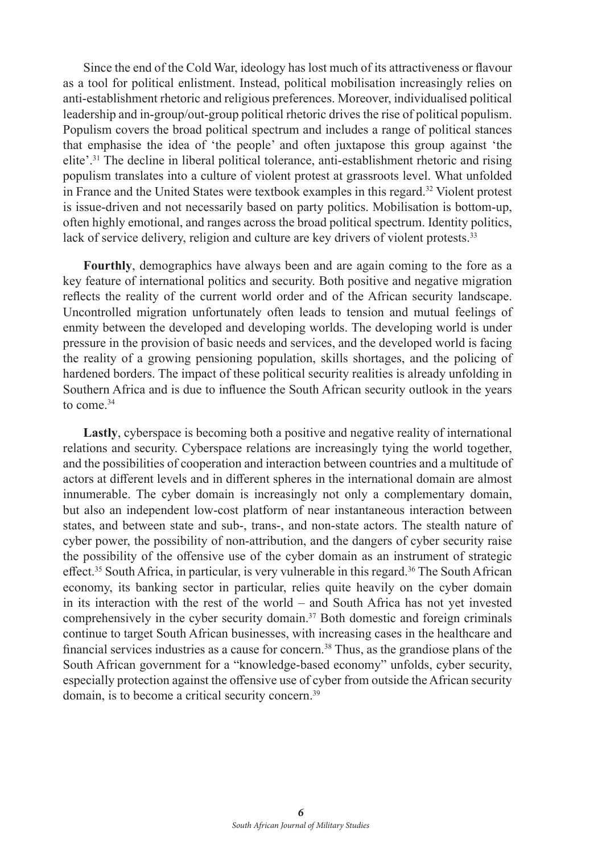Since the end of the Cold War, ideology has lost much of its attractiveness or flavour as a tool for political enlistment. Instead, political mobilisation increasingly relies on anti-establishment rhetoric and religious preferences. Moreover, individualised political leadership and in-group/out-group political rhetoric drives the rise of political populism. Populism covers the broad political spectrum and includes a range of political stances that emphasise the idea of 'the people' and often juxtapose this group against 'the elite'.31 The decline in liberal political tolerance, anti-establishment rhetoric and rising populism translates into a culture of violent protest at grassroots level. What unfolded in France and the United States were textbook examples in this regard.32 Violent protest is issue-driven and not necessarily based on party politics. Mobilisation is bottom-up, often highly emotional, and ranges across the broad political spectrum. Identity politics, lack of service delivery, religion and culture are key drivers of violent protests.<sup>33</sup>

**Fourthly**, demographics have always been and are again coming to the fore as a key feature of international politics and security. Both positive and negative migration reflects the reality of the current world order and of the African security landscape. Uncontrolled migration unfortunately often leads to tension and mutual feelings of enmity between the developed and developing worlds. The developing world is under pressure in the provision of basic needs and services, and the developed world is facing the reality of a growing pensioning population, skills shortages, and the policing of hardened borders. The impact of these political security realities is already unfolding in Southern Africa and is due to influence the South African security outlook in the years to come 34

**Lastly**, cyberspace is becoming both a positive and negative reality of international relations and security. Cyberspace relations are increasingly tying the world together, and the possibilities of cooperation and interaction between countries and a multitude of actors at different levels and in different spheres in the international domain are almost innumerable. The cyber domain is increasingly not only a complementary domain, but also an independent low-cost platform of near instantaneous interaction between states, and between state and sub-, trans-, and non-state actors. The stealth nature of cyber power, the possibility of non-attribution, and the dangers of cyber security raise the possibility of the offensive use of the cyber domain as an instrument of strategic effect.<sup>35</sup> South Africa, in particular, is very vulnerable in this regard.36 The South African economy, its banking sector in particular, relies quite heavily on the cyber domain in its interaction with the rest of the world – and South Africa has not yet invested comprehensively in the cyber security domain.37 Both domestic and foreign criminals continue to target South African businesses, with increasing cases in the healthcare and financial services industries as a cause for concern.38 Thus, as the grandiose plans of the South African government for a "knowledge-based economy" unfolds, cyber security, especially protection against the offensive use of cyber from outside the African security domain, is to become a critical security concern.<sup>39</sup>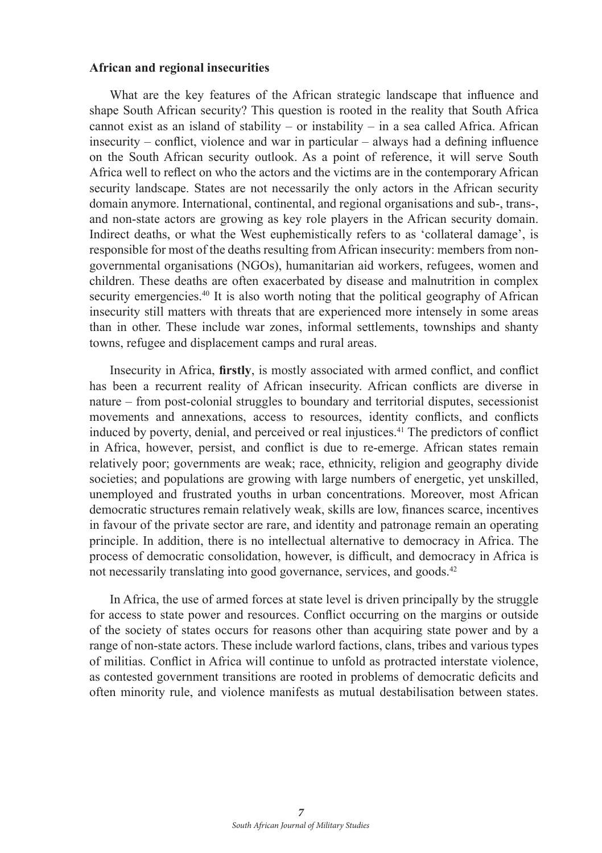## **African and regional insecurities**

What are the key features of the African strategic landscape that influence and shape South African security? This question is rooted in the reality that South Africa cannot exist as an island of stability – or instability – in a sea called Africa. African insecurity – conflict, violence and war in particular – always had a defining influence on the South African security outlook. As a point of reference, it will serve South Africa well to reflect on who the actors and the victims are in the contemporary African security landscape. States are not necessarily the only actors in the African security domain anymore. International, continental, and regional organisations and sub-, trans-, and non-state actors are growing as key role players in the African security domain. Indirect deaths, or what the West euphemistically refers to as 'collateral damage', is responsible for most of the deaths resulting from African insecurity: members from nongovernmental organisations (NGOs), humanitarian aid workers, refugees, women and children. These deaths are often exacerbated by disease and malnutrition in complex security emergencies.<sup>40</sup> It is also worth noting that the political geography of African insecurity still matters with threats that are experienced more intensely in some areas than in other. These include war zones, informal settlements, townships and shanty towns, refugee and displacement camps and rural areas.

Insecurity in Africa, **firstly**, is mostly associated with armed conflict, and conflict has been a recurrent reality of African insecurity. African conflicts are diverse in nature – from post-colonial struggles to boundary and territorial disputes, secessionist movements and annexations, access to resources, identity conflicts, and conflicts induced by poverty, denial, and perceived or real injustices.<sup>41</sup> The predictors of conflict in Africa, however, persist, and conflict is due to re-emerge. African states remain relatively poor; governments are weak; race, ethnicity, religion and geography divide societies; and populations are growing with large numbers of energetic, yet unskilled, unemployed and frustrated youths in urban concentrations. Moreover, most African democratic structures remain relatively weak, skills are low, finances scarce, incentives in favour of the private sector are rare, and identity and patronage remain an operating principle. In addition, there is no intellectual alternative to democracy in Africa. The process of democratic consolidation, however, is difficult, and democracy in Africa is not necessarily translating into good governance, services, and goods.42

In Africa, the use of armed forces at state level is driven principally by the struggle for access to state power and resources. Conflict occurring on the margins or outside of the society of states occurs for reasons other than acquiring state power and by a range of non-state actors. These include warlord factions, clans, tribes and various types of militias. Conflict in Africa will continue to unfold as protracted interstate violence, as contested government transitions are rooted in problems of democratic deficits and often minority rule, and violence manifests as mutual destabilisation between states.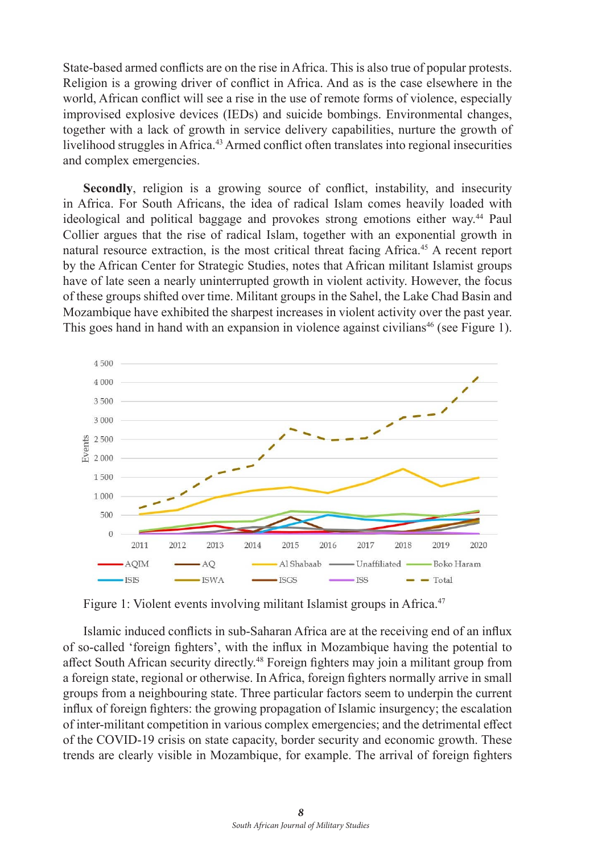State-based armed conflicts are on the rise in Africa. This is also true of popular protests. Religion is a growing driver of conflict in Africa. And as is the case elsewhere in the world, African conflict will see a rise in the use of remote forms of violence, especially improvised explosive devices (IEDs) and suicide bombings. Environmental changes, together with a lack of growth in service delivery capabilities, nurture the growth of livelihood struggles in Africa.<sup>43</sup> Armed conflict often translates into regional insecurities and complex emergencies.

**Secondly**, religion is a growing source of conflict, instability, and insecurity in Africa. For South Africans, the idea of radical Islam comes heavily loaded with ideological and political baggage and provokes strong emotions either way.44 Paul Collier argues that the rise of radical Islam, together with an exponential growth in natural resource extraction, is the most critical threat facing Africa.45 A recent report by the African Center for Strategic Studies, notes that African militant Islamist groups have of late seen a nearly uninterrupted growth in violent activity. However, the focus of these groups shifted over time. Militant groups in the Sahel, the Lake Chad Basin and Mozambique have exhibited the sharpest increases in violent activity over the past year. This goes hand in hand with an expansion in violence against civilians<sup>46</sup> (see Figure 1).



Figure 1: Violent events involving militant Islamist groups in Africa.<sup>47</sup>

Islamic induced conflicts in sub-Saharan Africa are at the receiving end of an influx of so-called 'foreign fighters', with the influx in Mozambique having the potential to affect South African security directly.<sup>48</sup> Foreign fighters may join a militant group from a foreign state, regional or otherwise. In Africa, foreign fighters normally arrive in small groups from a neighbouring state. Three particular factors seem to underpin the current influx of foreign fighters: the growing propagation of Islamic insurgency; the escalation of inter-militant competition in various complex emergencies; and the detrimental effect of the COVID-19 crisis on state capacity, border security and economic growth. These trends are clearly visible in Mozambique, for example. The arrival of foreign fighters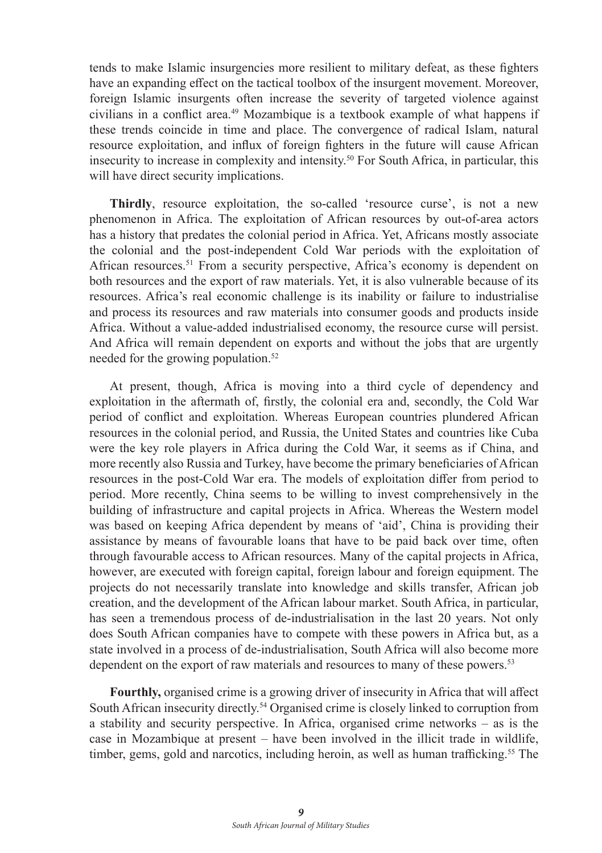tends to make Islamic insurgencies more resilient to military defeat, as these fighters have an expanding effect on the tactical toolbox of the insurgent movement. Moreover, foreign Islamic insurgents often increase the severity of targeted violence against civilians in a conflict area.49 Mozambique is a textbook example of what happens if these trends coincide in time and place. The convergence of radical Islam, natural resource exploitation, and influx of foreign fighters in the future will cause African insecurity to increase in complexity and intensity.50 For South Africa, in particular, this will have direct security implications.

**Thirdly**, resource exploitation, the so-called 'resource curse', is not a new phenomenon in Africa. The exploitation of African resources by out-of-area actors has a history that predates the colonial period in Africa. Yet, Africans mostly associate the colonial and the post-independent Cold War periods with the exploitation of African resources.51 From a security perspective, Africa's economy is dependent on both resources and the export of raw materials. Yet, it is also vulnerable because of its resources. Africa's real economic challenge is its inability or failure to industrialise and process its resources and raw materials into consumer goods and products inside Africa. Without a value-added industrialised economy, the resource curse will persist. And Africa will remain dependent on exports and without the jobs that are urgently needed for the growing population.<sup>52</sup>

At present, though, Africa is moving into a third cycle of dependency and exploitation in the aftermath of, firstly, the colonial era and, secondly, the Cold War period of conflict and exploitation. Whereas European countries plundered African resources in the colonial period, and Russia, the United States and countries like Cuba were the key role players in Africa during the Cold War, it seems as if China, and more recently also Russia and Turkey, have become the primary beneficiaries of African resources in the post-Cold War era. The models of exploitation differ from period to period. More recently, China seems to be willing to invest comprehensively in the building of infrastructure and capital projects in Africa. Whereas the Western model was based on keeping Africa dependent by means of 'aid', China is providing their assistance by means of favourable loans that have to be paid back over time, often through favourable access to African resources. Many of the capital projects in Africa, however, are executed with foreign capital, foreign labour and foreign equipment. The projects do not necessarily translate into knowledge and skills transfer, African job creation, and the development of the African labour market. South Africa, in particular, has seen a tremendous process of de-industrialisation in the last 20 years. Not only does South African companies have to compete with these powers in Africa but, as a state involved in a process of de-industrialisation, South Africa will also become more dependent on the export of raw materials and resources to many of these powers.<sup>53</sup>

**Fourthly,** organised crime is a growing driver of insecurity in Africa that will affect South African insecurity directly.54 Organised crime is closely linked to corruption from a stability and security perspective. In Africa, organised crime networks – as is the case in Mozambique at present – have been involved in the illicit trade in wildlife, timber, gems, gold and narcotics, including heroin, as well as human trafficking.<sup>55</sup> The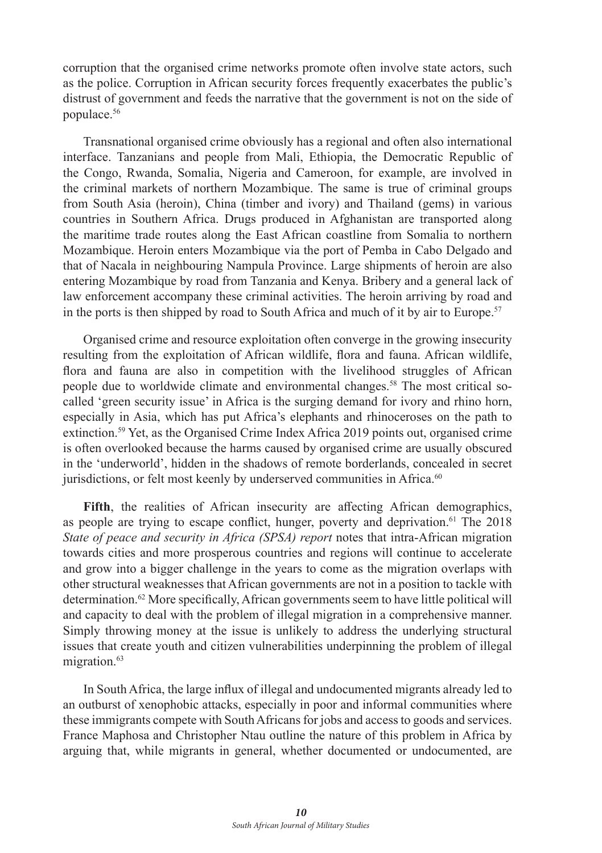corruption that the organised crime networks promote often involve state actors, such as the police. Corruption in African security forces frequently exacerbates the public's distrust of government and feeds the narrative that the government is not on the side of populace.56

Transnational organised crime obviously has a regional and often also international interface. Tanzanians and people from Mali, Ethiopia, the Democratic Republic of the Congo, Rwanda, Somalia, Nigeria and Cameroon, for example, are involved in the criminal markets of northern Mozambique. The same is true of criminal groups from South Asia (heroin), China (timber and ivory) and Thailand (gems) in various countries in Southern Africa. Drugs produced in Afghanistan are transported along the maritime trade routes along the East African coastline from Somalia to northern Mozambique. Heroin enters Mozambique via the port of Pemba in Cabo Delgado and that of Nacala in neighbouring Nampula Province. Large shipments of heroin are also entering Mozambique by road from Tanzania and Kenya. Bribery and a general lack of law enforcement accompany these criminal activities. The heroin arriving by road and in the ports is then shipped by road to South Africa and much of it by air to Europe.<sup>57</sup>

Organised crime and resource exploitation often converge in the growing insecurity resulting from the exploitation of African wildlife, flora and fauna. African wildlife, flora and fauna are also in competition with the livelihood struggles of African people due to worldwide climate and environmental changes.58 The most critical socalled 'green security issue' in Africa is the surging demand for ivory and rhino horn, especially in Asia, which has put Africa's elephants and rhinoceroses on the path to extinction.<sup>59</sup> Yet, as the Organised Crime Index Africa 2019 points out, organised crime is often overlooked because the harms caused by organised crime are usually obscured in the 'underworld', hidden in the shadows of remote borderlands, concealed in secret jurisdictions, or felt most keenly by underserved communities in Africa.<sup>60</sup>

Fifth, the realities of African insecurity are affecting African demographics, as people are trying to escape conflict, hunger, poverty and deprivation.<sup>61</sup> The  $2018$ *State of peace and security in Africa (SPSA) report* notes that intra-African migration towards cities and more prosperous countries and regions will continue to accelerate and grow into a bigger challenge in the years to come as the migration overlaps with other structural weaknesses that African governments are not in a position to tackle with determination.62 More specifically, African governments seem to have little political will and capacity to deal with the problem of illegal migration in a comprehensive manner. Simply throwing money at the issue is unlikely to address the underlying structural issues that create youth and citizen vulnerabilities underpinning the problem of illegal migration.<sup>63</sup>

In South Africa, the large influx of illegal and undocumented migrants already led to an outburst of xenophobic attacks, especially in poor and informal communities where these immigrants compete with South Africans for jobs and access to goods and services. France Maphosa and Christopher Ntau outline the nature of this problem in Africa by arguing that, while migrants in general, whether documented or undocumented, are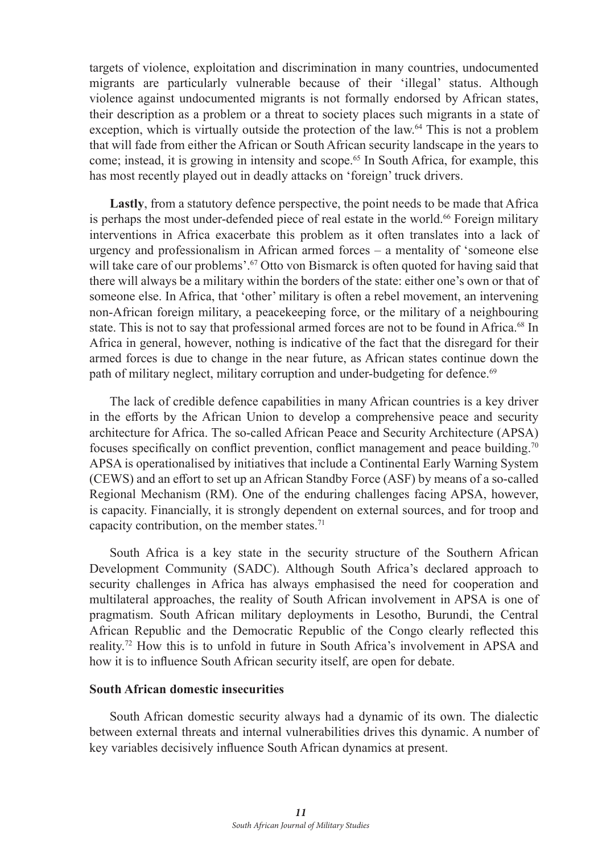targets of violence, exploitation and discrimination in many countries, undocumented migrants are particularly vulnerable because of their 'illegal' status. Although violence against undocumented migrants is not formally endorsed by African states, their description as a problem or a threat to society places such migrants in a state of exception, which is virtually outside the protection of the law.64 This is not a problem that will fade from either the African or South African security landscape in the years to come; instead, it is growing in intensity and scope.<sup>65</sup> In South Africa, for example, this has most recently played out in deadly attacks on 'foreign' truck drivers.

**Lastly**, from a statutory defence perspective, the point needs to be made that Africa is perhaps the most under-defended piece of real estate in the world.<sup>66</sup> Foreign military interventions in Africa exacerbate this problem as it often translates into a lack of urgency and professionalism in African armed forces – a mentality of 'someone else will take care of our problems'.<sup> $67$ </sup> Otto von Bismarck is often quoted for having said that there will always be a military within the borders of the state: either one's own or that of someone else. In Africa, that 'other' military is often a rebel movement, an intervening non-African foreign military, a peacekeeping force, or the military of a neighbouring state. This is not to say that professional armed forces are not to be found in Africa.<sup>68</sup> In Africa in general, however, nothing is indicative of the fact that the disregard for their armed forces is due to change in the near future, as African states continue down the path of military neglect, military corruption and under-budgeting for defence.<sup>69</sup>

The lack of credible defence capabilities in many African countries is a key driver in the efforts by the African Union to develop a comprehensive peace and security architecture for Africa. The so-called African Peace and Security Architecture (APSA) focuses specifically on conflict prevention, conflict management and peace building.70 APSA is operationalised by initiatives that include a Continental Early Warning System (CEWS) and an effort to set up an African Standby Force (ASF) by means of a so-called Regional Mechanism (RM). One of the enduring challenges facing APSA, however, is capacity. Financially, it is strongly dependent on external sources, and for troop and capacity contribution, on the member states.<sup>71</sup>

South Africa is a key state in the security structure of the Southern African Development Community (SADC). Although South Africa's declared approach to security challenges in Africa has always emphasised the need for cooperation and multilateral approaches, the reality of South African involvement in APSA is one of pragmatism. South African military deployments in Lesotho, Burundi, the Central African Republic and the Democratic Republic of the Congo clearly reflected this reality.72 How this is to unfold in future in South Africa's involvement in APSA and how it is to influence South African security itself, are open for debate.

### **South African domestic insecurities**

South African domestic security always had a dynamic of its own. The dialectic between external threats and internal vulnerabilities drives this dynamic. A number of key variables decisively influence South African dynamics at present.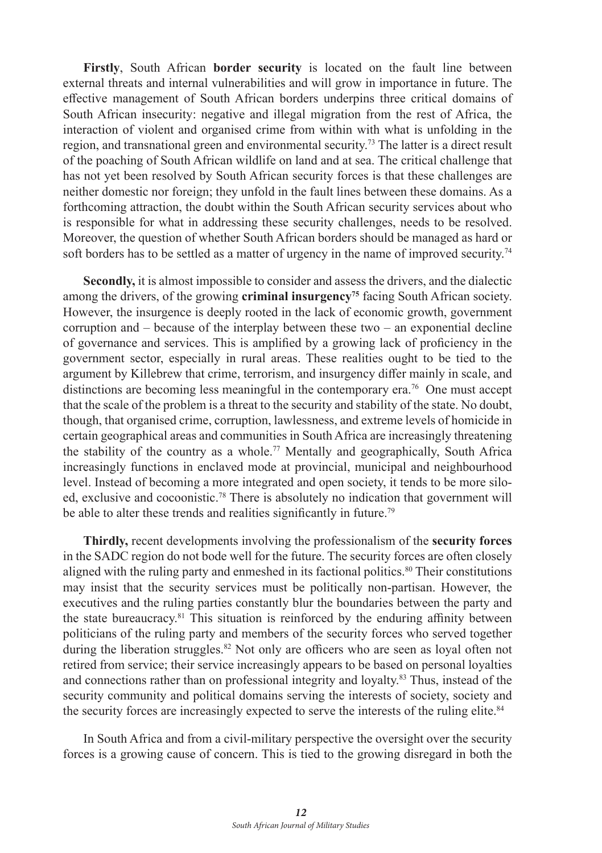**Firstly**, South African **border security** is located on the fault line between external threats and internal vulnerabilities and will grow in importance in future. The effective management of South African borders underpins three critical domains of South African insecurity: negative and illegal migration from the rest of Africa, the interaction of violent and organised crime from within with what is unfolding in the region, and transnational green and environmental security.73 The latter is a direct result of the poaching of South African wildlife on land and at sea. The critical challenge that has not yet been resolved by South African security forces is that these challenges are neither domestic nor foreign; they unfold in the fault lines between these domains. As a forthcoming attraction, the doubt within the South African security services about who is responsible for what in addressing these security challenges, needs to be resolved. Moreover, the question of whether South African borders should be managed as hard or soft borders has to be settled as a matter of urgency in the name of improved security.<sup>74</sup>

**Secondly,** it is almost impossible to consider and assess the drivers, and the dialectic among the drivers, of the growing **criminal insurgency**<sup>75</sup> facing South African society. However, the insurgence is deeply rooted in the lack of economic growth, government corruption and – because of the interplay between these two – an exponential decline of governance and services. This is amplified by a growing lack of proficiency in the government sector, especially in rural areas. These realities ought to be tied to the argument by Killebrew that crime, terrorism, and insurgency differ mainly in scale, and distinctions are becoming less meaningful in the contemporary era.76 One must accept that the scale of the problem is a threat to the security and stability of the state. No doubt, though, that organised crime, corruption, lawlessness, and extreme levels of homicide in certain geographical areas and communities in South Africa are increasingly threatening the stability of the country as a whole.<sup>77</sup> Mentally and geographically, South Africa increasingly functions in enclaved mode at provincial, municipal and neighbourhood level. Instead of becoming a more integrated and open society, it tends to be more siloed, exclusive and cocoonistic.78 There is absolutely no indication that government will be able to alter these trends and realities significantly in future.<sup>79</sup>

**Thirdly,** recent developments involving the professionalism of the **security forces** in the SADC region do not bode well for the future. The security forces are often closely aligned with the ruling party and enmeshed in its factional politics.<sup>80</sup> Their constitutions may insist that the security services must be politically non-partisan. However, the executives and the ruling parties constantly blur the boundaries between the party and the state bureaucracy.<sup>81</sup> This situation is reinforced by the enduring affinity between politicians of the ruling party and members of the security forces who served together during the liberation struggles.<sup>82</sup> Not only are officers who are seen as loyal often not retired from service; their service increasingly appears to be based on personal loyalties and connections rather than on professional integrity and loyalty.83 Thus, instead of the security community and political domains serving the interests of society, society and the security forces are increasingly expected to serve the interests of the ruling elite.<sup>84</sup>

In South Africa and from a civil-military perspective the oversight over the security forces is a growing cause of concern. This is tied to the growing disregard in both the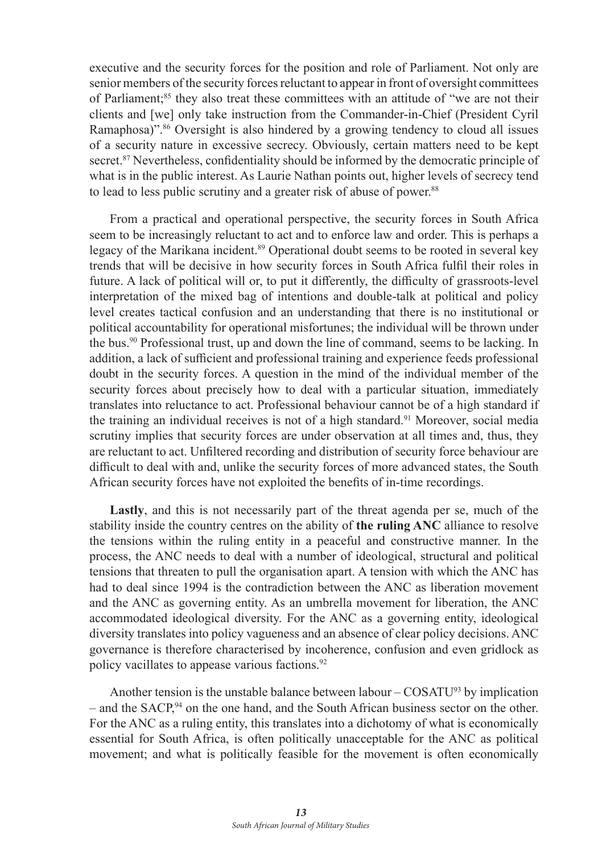executive and the security forces for the position and role of Parliament. Not only are senior members of the security forces reluctant to appear in front of oversight committees of Parliament;<sup>85</sup> they also treat these committees with an attitude of "we are not their clients and [we] only take instruction from the Commander-in-Chief (President Cyril Ramaphosa)".<sup>86</sup> Oversight is also hindered by a growing tendency to cloud all issues of a security nature in excessive secrecy. Obviously, certain matters need to be kept secret.<sup>87</sup> Nevertheless, confidentiality should be informed by the democratic principle of what is in the public interest. As Laurie Nathan points out, higher levels of secrecy tend to lead to less public scrutiny and a greater risk of abuse of power. 88

From a practical and operational perspective, the security forces in South Africa seem to be increasingly reluctant to act and to enforce law and order. This is perhaps a legacy of the Marikana incident.<sup>89</sup> Operational doubt seems to be rooted in several key trends that will be decisive in how security forces in South Africa fulfil their roles in future. A lack of political will or, to put it differently, the difficulty of grassroots-level interpretation of the mixed bag of intentions and double-talk at political and policy level creates tactical confusion and an understanding that there is no institutional or political accountability for operational misfortunes; the individual will be thrown under the bus.<sup>90</sup> Professional trust, up and down the line of command, seems to be lacking. In addition, a lack of sufficient and professional training and experience feeds professional doubt in the security forces. A question in the mind of the individual member of the security forces about precisely how to deal with a particular situation, immediately translates into reluctance to act. Professional behaviour cannot be of a high standard if the training an individual receives is not of a high standard.<sup>91</sup> Moreover, social media scrutiny implies that security forces are under observation at all times and, thus, they are reluctant to act. Unfiltered recording and distribution of security force behaviour are difficult to deal with and, unlike the security forces of more advanced states, the South African security forces have not exploited the benefits of in-time recordings.

**Lastly**, and this is not necessarily part of the threat agenda per se, much of the stability inside the country centres on the ability of **the ruling ANC** alliance to resolve the tensions within the ruling entity in a peaceful and constructive manner. In the process, the ANC needs to deal with a number of ideological, structural and political tensions that threaten to pull the organisation apart. A tension with which the ANC has had to deal since 1994 is the contradiction between the ANC as liberation movement and the ANC as governing entity. As an umbrella movement for liberation, the ANC accommodated ideological diversity. For the ANC as a governing entity, ideological diversity translates into policy vagueness and an absence of clear policy decisions. ANC governance is therefore characterised by incoherence, confusion and even gridlock as policy vacillates to appease various factions.<sup>92</sup>

Another tension is the unstable balance between labour –  $\text{COSATU}^{93}$  by implication  $-$  and the SACP, $94$  on the one hand, and the South African business sector on the other. For the ANC as a ruling entity, this translates into a dichotomy of what is economically essential for South Africa, is often politically unacceptable for the ANC as political movement; and what is politically feasible for the movement is often economically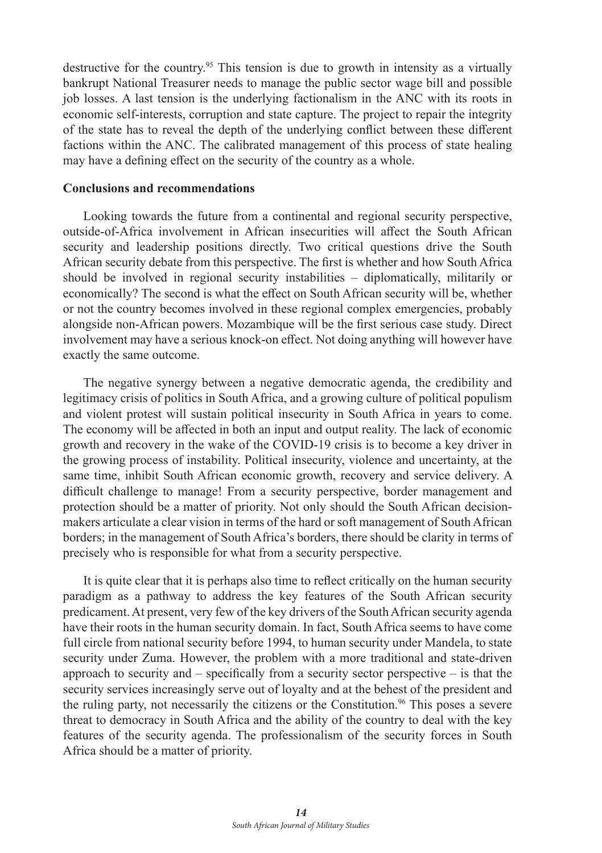destructive for the country.<sup>95</sup> This tension is due to growth in intensity as a virtually bankrupt National Treasurer needs to manage the public sector wage bill and possible job losses. A last tension is the underlying factionalism in the ANC with its roots in economic self-interests, corruption and state capture. The project to repair the integrity of the state has to reveal the depth of the underlying conflict between these different factions within the ANC. The calibrated management of this process of state healing may have a defining effect on the security of the country as a whole.

#### **Conclusions and recommendations**

Looking towards the future from a continental and regional security perspective, outside-of-Africa involvement in African insecurities will affect the South African security and leadership positions directly. Two critical questions drive the South African security debate from this perspective. The first is whether and how South Africa should be involved in regional security instabilities – diplomatically, militarily or economically? The second is what the effect on South African security will be, whether or not the country becomes involved in these regional complex emergencies, probably alongside non-African powers. Mozambique will be the first serious case study. Direct involvement may have a serious knock-on effect. Not doing anything will however have exactly the same outcome.

The negative synergy between a negative democratic agenda, the credibility and legitimacy crisis of politics in South Africa, and a growing culture of political populism and violent protest will sustain political insecurity in South Africa in years to come. The economy will be affected in both an input and output reality. The lack of economic growth and recovery in the wake of the COVID-19 crisis is to become a key driver in the growing process of instability. Political insecurity, violence and uncertainty, at the same time, inhibit South African economic growth, recovery and service delivery. A difficult challenge to manage! From a security perspective, border management and protection should be a matter of priority. Not only should the South African decisionmakers articulate a clear vision in terms of the hard or soft management of South African borders; in the management of South Africa's borders, there should be clarity in terms of precisely who is responsible for what from a security perspective.

It is quite clear that it is perhaps also time to reflect critically on the human security paradigm as a pathway to address the key features of the South African security predicament. At present, very few of the key drivers of the South African security agenda have their roots in the human security domain. In fact, South Africa seems to have come full circle from national security before 1994, to human security under Mandela, to state security under Zuma. However, the problem with a more traditional and state-driven approach to security and – specifically from a security sector perspective – is that the security services increasingly serve out of loyalty and at the behest of the president and the ruling party, not necessarily the citizens or the Constitution.<sup>96</sup> This poses a severe threat to democracy in South Africa and the ability of the country to deal with the key features of the security agenda. The professionalism of the security forces in South Africa should be a matter of priority.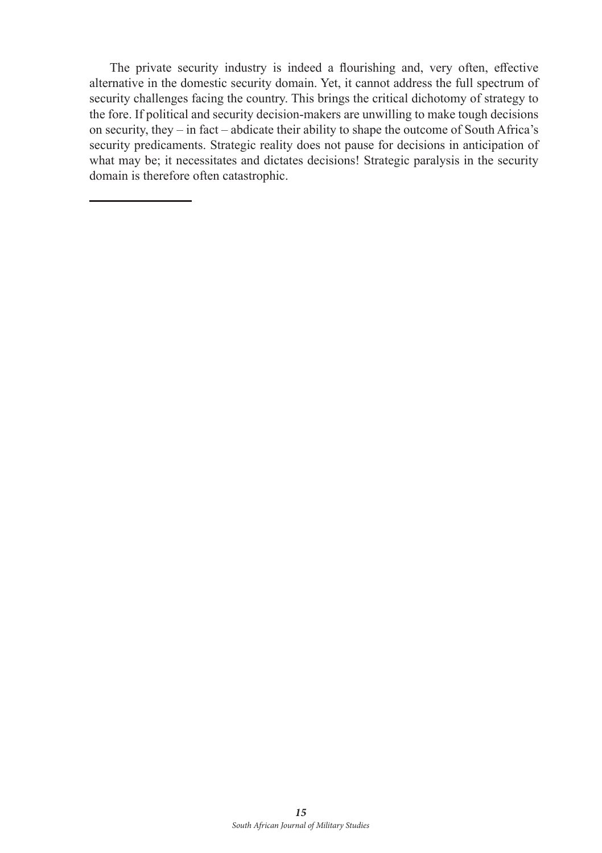The private security industry is indeed a flourishing and, very often, effective alternative in the domestic security domain. Yet, it cannot address the full spectrum of security challenges facing the country. This brings the critical dichotomy of strategy to the fore. If political and security decision-makers are unwilling to make tough decisions on security, they – in fact – abdicate their ability to shape the outcome of South Africa's security predicaments. Strategic reality does not pause for decisions in anticipation of what may be; it necessitates and dictates decisions! Strategic paralysis in the security domain is therefore often catastrophic.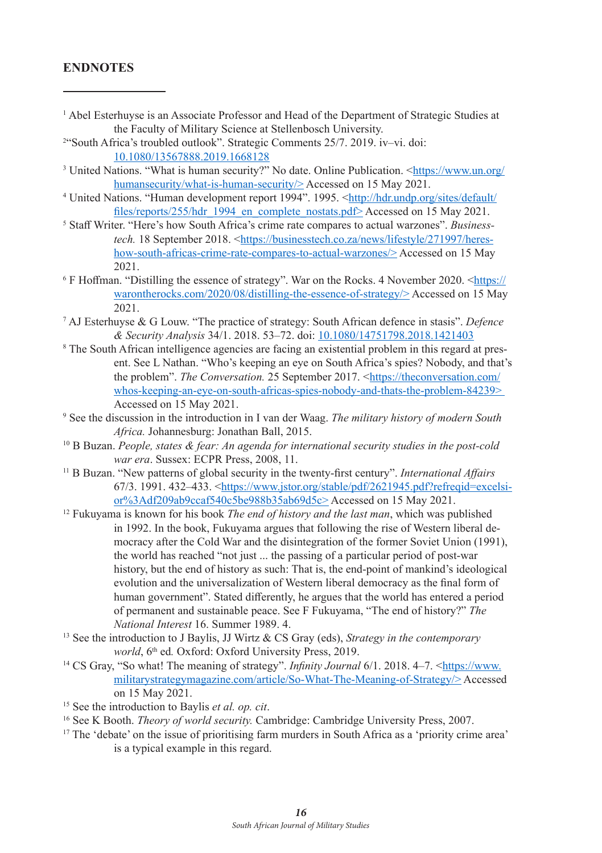# **ENDNOTES**

| <sup>1</sup> Abel Esterhuyse is an Associate Professor and Head of the Department of Strategic Studies at                          |
|------------------------------------------------------------------------------------------------------------------------------------|
| the Faculty of Military Science at Stellenbosch University.                                                                        |
| <sup>2"</sup> South Africa's troubled outlook". Strategic Comments 25/7, 2019. iv-vi. doi:                                         |
| 10.1080/13567888.2019.1668128                                                                                                      |
| <sup>3</sup> United Nations. "What is human security?" No date. Online Publication. <https: <="" td="" www.un.org=""></https:>     |
| humansecurity/what-is-human-security/>Accessed on 15 May 2021.                                                                     |
| <sup>4</sup> United Nations. "Human development report 1994". 1995. <http: <="" default="" hdr.undp.org="" sites="" td=""></http:> |
| files/reports/255/hdr 1994 en complete nostats.pdf>Accessed on 15 May 2021.                                                        |
| <sup>5</sup> Staff Writer. "Here's how South Africa's crime rate compares to actual warzones". <i>Business</i> -                   |
| tech. 18 September 2018. <https: 271997="" businesstech.co.za="" heres-<="" lifestyle="" news="" td=""></https:>                   |
| how-south-africas-crime-rate-compares-to-actual-warzones/>Accessed on 15 May                                                       |
| 2021.                                                                                                                              |
| <sup>6</sup> F Hoffman. "Distilling the essence of strategy". War on the Rocks. 4 November 2020. <https: <="" td=""></https:>      |
| warontherocks.com/2020/08/distilling-the-essence-of-strategy/>Accessed on 15 May                                                   |
| 2021.                                                                                                                              |
| <sup>7</sup> AJ Esterhuyse & G Louw. "The practice of strategy: South African defence in stasis". Defence                          |
| & Security Analysis 34/1. 2018. 53-72. doi: 10.1080/14751798.2018.1421403                                                          |
| <sup>8</sup> The South African intelligence agencies are facing an existential problem in this regard at pres-                     |
| ent. See L Nathan. "Who's keeping an eye on South Africa's spies? Nobody, and that's                                               |
| the problem". The Conversation. 25 September 2017. <https: <="" td="" theconversation.com=""></https:>                             |

whos-keeping-an-eye-on-south-africas-spies-nobody-and-thats-the-problem-84239> Accessed on 15 May 2021.

- 9 See the discussion in the introduction in I van der Waag. *The military history of modern South Africa.* Johannesburg: Jonathan Ball, 2015.
- 10 B Buzan. *People, states & fear: An agenda for international security studies in the post-cold war era*. Sussex: ECPR Press, 2008, 11.
- <sup>11</sup> B Buzan. "New patterns of global security in the twenty-first century". *International Affairs* 67/3. 1991. 432–433. <https://www.jstor.org/stable/pdf/2621945.pdf?refreqid=excelsior%3Adf209ab9ccaf540c5be988b35ab69d5c> Accessed on 15 May 2021.

<sup>12</sup> Fukuyama is known for his book *The end of history and the last man*, which was published in 1992. In the book, Fukuyama argues that following the rise of Western liberal democracy after the Cold War and the disintegration of the former Soviet Union (1991), the world has reached "not just ... the passing of a particular period of post-war history, but the end of history as such: That is, the end-point of mankind's ideological evolution and the universalization of Western liberal democracy as the final form of human government". Stated differently, he argues that the world has entered a period of permanent and sustainable peace. See F Fukuyama, "The end of history?" *The National Interest* 16. Summer 1989. 4.

- <sup>13</sup> See the introduction to J Baylis, JJ Wirtz & CS Gray (eds), *Strategy in the contemporary world*,  $6<sup>th</sup>$  ed. Oxford: Oxford University Press, 2019.
- <sup>14</sup> CS Gray, "So what! The meaning of strategy". *Infinity Journal* 6/1. 2018. 4–7. <https://www. militarystrategymagazine.com/article/So-What-The-Meaning-of-Strategy/> Accessed on 15 May 2021.
- 15 See the introduction to Baylis *et al. op. cit*.
- <sup>16</sup> See K Booth. *Theory of world security.* Cambridge: Cambridge University Press, 2007.
- <sup>17</sup> The 'debate' on the issue of prioritising farm murders in South Africa as a 'priority crime area' is a typical example in this regard.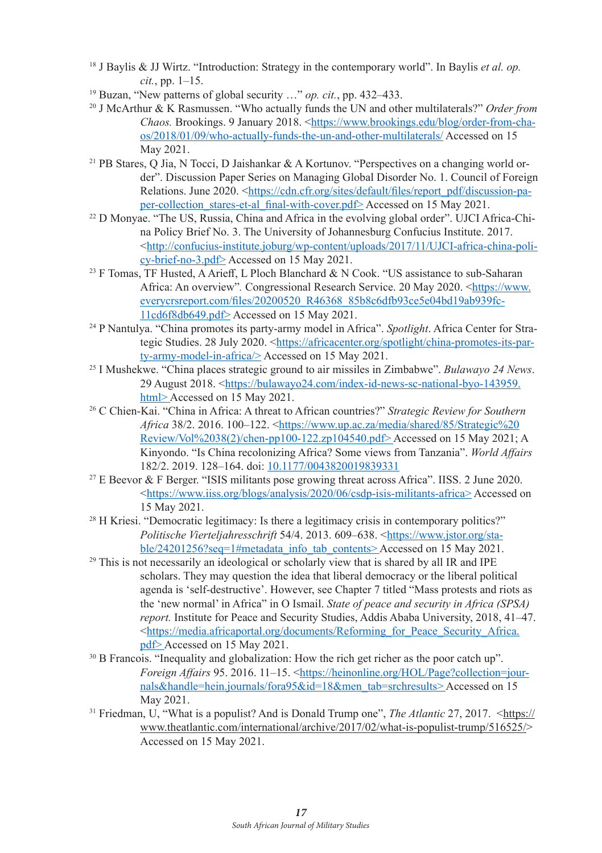- <sup>18</sup> J Baylis & JJ Wirtz. "Introduction: Strategy in the contemporary world". In Baylis *et al. op. cit.*, pp. 1–15.<br><sup>19</sup> Buzan, "New patterns of global security ..." *op. cit.*, pp. 432–433.
- 
- <sup>20</sup> J McArthur & K Rasmussen. "Who actually funds the UN and other multilaterals?" *Order from Chaos.* Brookings. 9 January 2018. <https://www.brookings.edu/blog/order-from-chaos/2018/01/09/who-actually-funds-the-un-and-other-multilaterals/ Accessed on 15 May 2021.
- <sup>21</sup> PB Stares, O Jia, N Tocci, D Jaishankar & A Kortunov. "Perspectives on a changing world order". Discussion Paper Series on Managing Global Disorder No. 1. Council of Foreign Relations. June 2020. <https://cdn.cfr.org/sites/default/files/report\_pdf/discussion-paper-collection\_stares-et-al\_final-with-cover.pdf> Accessed on 15 May 2021.
- 22 D Monyae. "The US, Russia, China and Africa in the evolving global order". UJCI Africa-China Policy Brief No. 3. The University of Johannesburg Confucius Institute. 2017. <http://confucius-institute.joburg/wp-content/uploads/2017/11/UJCI-africa-china-policy-brief-no-3.pdf> Accessed on 15 May 2021.
- <sup>23</sup> F Tomas, TF Husted, A Arieff, L Ploch Blanchard & N Cook. "US assistance to sub-Saharan Africa: An overview"*.* Congressional Research Service. 20 May 2020. <https://www. everycrsreport.com/files/20200520\_R46368\_85b8c6dfb93ce5e04bd19ab939fc-11cd6f8db649.pdf> Accessed on 15 May 2021.
- 24 P Nantulya. "China promotes its party-army model in Africa". *Spotlight*. Africa Center for Strategic Studies. 28 July 2020. <https://africacenter.org/spotlight/china-promotes-its-party-army-model-in-africa/> Accessed on 15 May 2021.
- 25 I Mushekwe. "China places strategic ground to air missiles in Zimbabwe". *Bulawayo 24 News*. 29 August 2018. <https://bulawayo24.com/index-id-news-sc-national-byo-143959.<br>html> Accessed on 15 May 2021.
- <sup>26</sup> C Chien-Kai. "China in Africa: A threat to African countries?" *Strategic Review for Southern Africa* 38/2. 2016. 100–122. <https://www.up.ac.za/media/shared/85/Strategic%20 Review/Vol%2038(2)/chen-pp100-122.zp104540.pdf> Accessed on 15 May 2021; A Kinyondo. "Is China recolonizing Africa? Some views from Tanzania". *World Affairs* 182/2. 2019. 128–164. doi: 10.1177/0043820019839331
- 27 E Beevor & F Berger. "ISIS militants pose growing threat across Africa". IISS. 2 June 2020. <https://www.iiss.org/blogs/analysis/2020/06/csdp-isis-militants-africa> Accessed on 15 May 2021.
- <sup>28</sup> H Kriesi. "Democratic legitimacy: Is there a legitimacy crisis in contemporary politics?" *Politische Vierteljahresschrift* 54/4. 2013. 609–638. <https://www.jstor.org/sta-<br>ble/24201256?seq=1#metadata info tab contents>Accessed on 15 May 2021.
- $29$  This is not necessarily an ideological or scholarly view that is shared by all IR and IPE scholars. They may question the idea that liberal democracy or the liberal political agenda is 'self-destructive'. However, see Chapter 7 titled "Mass protests and riots as the 'new normal' in Africa" in O Ismail. *State of peace and security in Africa (SPSA) report.* Institute for Peace and Security Studies, Addis Ababa University, 2018, 41–47. <https://media.africaportal.org/documents/Reforming\_for\_Peace\_Security\_Africa.
- <sup>30</sup> B Francois. "Inequality and globalization: How the rich get richer as the poor catch up". *Foreign Affairs* 95. 2016. 11–15. <https://heinonline.org/HOL/Page?collection=journals&handle=hein.journals/fora95&id=18&men\_tab=srchresults> Accessed on 15 May 2021.
- <sup>31</sup> Friedman, U, "What is a populist? And is Donald Trump one", *The Atlantic* 27, 2017. <https:// www.theatlantic.com/international/archive/2017/02/what-is-populist-trump/516525/> Accessed on 15 May 2021.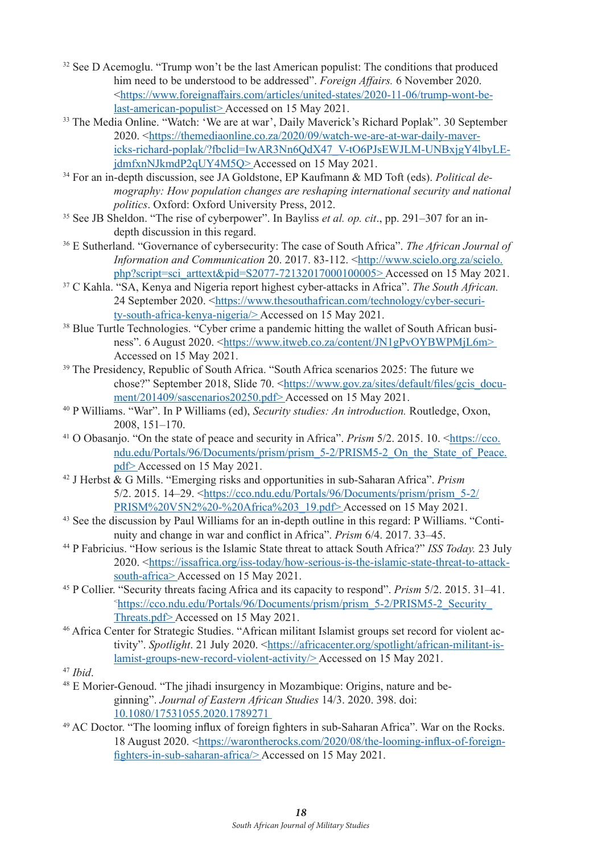- <sup>32</sup> See D Acemoglu. "Trump won't be the last American populist: The conditions that produced him need to be understood to be addressed". *Foreign Affairs.* 6 November 2020. <https://www.foreignaffairs.com/articles/united-states/2020-11-06/trump-wont-belast-american-populist> Accessed on 15 May 2021.
- <sup>33</sup> The Media Online. "Watch: 'We are at war', Daily Maverick's Richard Poplak". 30 September 2020. <https://themediaonline.co.za/2020/09/watch-we-are-at-war-daily-mavericks-richard-poplak/?fbclid=IwAR3Nn6QdX47\_V-tO6PJsEWJLM-UNBxjgY4lbyLEjdmfxnNJkmdP2qUY4M5Q> Accessed on 15 May 2021.
- 34 For an in-depth discussion, see JA Goldstone, EP Kaufmann & MD Toft (eds). *Political demography: How population changes are reshaping international security and national politics*. Oxford: Oxford University Press, 2012.
- 35 See JB Sheldon. "The rise of cyberpower". In Bayliss *et al. op. cit*., pp. 291–307 for an indepth discussion in this regard.
- 36 E Sutherland. "Governance of cybersecurity: The case of South Africa". *The African Journal of Information and Communication* 20. 2017. 83-112. <http://www.scielo.org.za/scielo. php?script=sci\_arttext&pid=S2077-72132017000100005> Accessed on 15 May 2021.
- <sup>37</sup> C Kahla. "SA, Kenya and Nigeria report highest cyber-attacks in Africa". *The South African.* 24 September 2020. <https://www.thesouthafrican.com/technology/cyber-security-south-africa-kenya-nigeria/> Accessed on 15 May 2021.
- <sup>38</sup> Blue Turtle Technologies. "Cyber crime a pandemic hitting the wallet of South African business". 6 August 2020. <https://www.itweb.co.za/content/JN1gPvOYBWPMjL6m> Accessed on 15 May 2021.
- <sup>39</sup> The Presidency, Republic of South Africa. "South Africa scenarios 2025: The future we chose?" September 2018, Slide 70. <https://www.gov.za/sites/default/files/gcis\_docu-<br>ment/201409/sascenarios20250.pdf> Accessed on 15 May 2021.
- <sup>40</sup> P Williams. "War". In P Williams (ed), *Security studies: An introduction*. Routledge, Oxon, 2008, 151–170.
- <sup>41</sup> O Obasanjo. "On the state of peace and security in Africa". *Prism* 5/2. 2015. 10. <https://cco. ndu.edu/Portals/96/Documents/prism/prism\_5-2/PRISM5-2\_On\_the\_State\_of\_Peace.<br>pdf> Accessed on 15 May 2021.
- <sup>42</sup> J Herbst & G Mills. "Emerging risks and opportunities in sub-Saharan Africa". *Prism* 5/2. 2015. 14–29. <https://cco.ndu.edu/Portals/96/Documents/prism/prism\_5-2/ PRISM%20V5N2%20-%20Africa%203\_19.pdf> Accessed on 15 May 2021.
- 43 See the discussion by Paul Williams for an in-depth outline in this regard: P Williams. "Continuity and change in war and conflict in Africa". *Prism* 6/4. 2017. 33–45.
- <sup>44</sup> P Fabricius. "How serious is the Islamic State threat to attack South Africa?" *ISS Today.* 23 July 2020. <https://issafrica.org/iss-today/how-serious-is-the-islamic-state-threat-to-attacksouth-africa> Accessed on 15 May 2021.
- <sup>45</sup> P Collier. "Security threats facing Africa and its capacity to respond". *Prism* 5/2. 2015. 31–41. < https://cco.ndu.edu/Portals/96/Documents/prism/prism\_5-2/PRISM5-2\_Security\_ Threats.pdf> Accessed on 15 May 2021.<br><sup>46</sup> Africa Center for Strategic Studies. "African militant Islamist groups set record for violent ac-
- tivity". *Spotlight*. 21 July 2020. <https://africacenter.org/spotlight/african-militant-islamist-groups-new-record-violent-activity/> Accessed on 15 May 2021.
- 47 *Ibid*.
- 48 E Morier-Genoud. "The jihadi insurgency in Mozambique: Origins, nature and beginning". *Journal of Eastern African Studies* 14/3. 2020. 398. doi: 10.1080/17531055.2020.1789271
- <sup>49</sup> AC Doctor. "The looming influx of foreign fighters in sub-Saharan Africa". War on the Rocks. 18 August 2020. <https://warontherocks.com/2020/08/the-looming-influx-of-foreignfighters-in-sub-saharan-africa/> Accessed on 15 May 2021.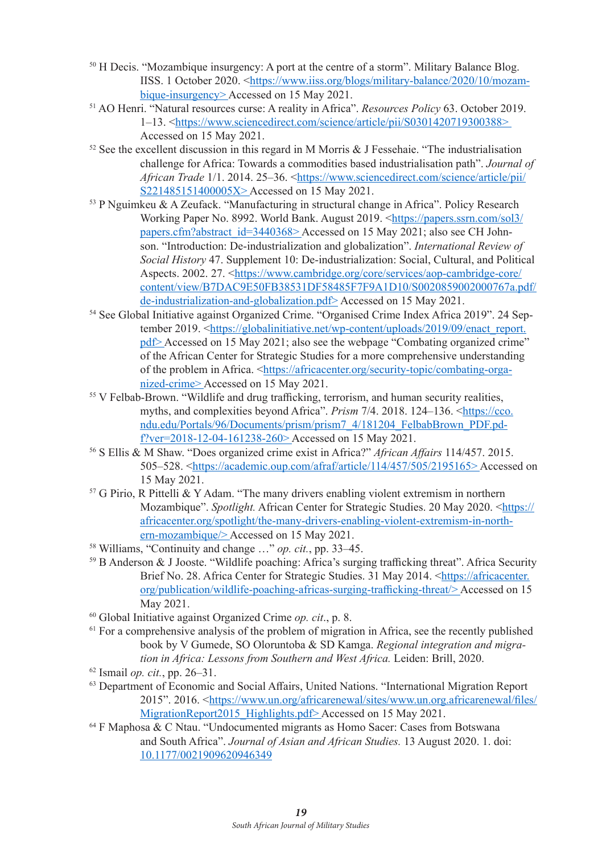- <sup>50</sup> H Decis. "Mozambique insurgency: A port at the centre of a storm". Military Balance Blog. IISS. 1 October 2020. <https://www.iiss.org/blogs/military-balance/2020/10/mozambique-insurgency> Accessed on 15 May 2021.
- <sup>51</sup> AO Henri. "Natural resources curse: A reality in Africa". *Resources Policy* 63. October 2019. 1–13. <https://www.sciencedirect.com/science/article/pii/S0301420719300388><br>Accessed on 15 May 2021.
- $52$  See the excellent discussion in this regard in M Morris & J Fessehaie. "The industrialisation challenge for Africa: Towards a commodities based industrialisation path". *Journal of African Trade* 1/1. 2014. 25–36. <https://www.sciencedirect.com/science/article/pii/ S221485151400005X> Accessed on 15 May 2021.
- <sup>53</sup> P Nguimkeu & A Zeufack. "Manufacturing in structural change in Africa". Policy Research Working Paper No. 8992. World Bank. August 2019. <https://papers.ssrn.com/sol3/ papers.cfm?abstract\_id=3440368> Accessed on 15 May 2021; also see CH Johnson. "Introduction: De-industrialization and globalization". *International Review of Social History* 47. Supplement 10: De-industrialization: Social, Cultural, and Political Aspects. 2002. 27. <https://www.cambridge.org/core/services/aop-cambridge-core/ content/view/B7DAC9E50FB38531DF58485F7F9A1D10/S0020859002000767a.pdf/ de-industrialization-and-globalization.pdf> Accessed on 15 May 2021.
- 54 See Global Initiative against Organized Crime. "Organised Crime Index Africa 2019". 24 September 2019. <https://globalinitiative.net/wp-content/uploads/2019/09/enact\_report. pdf> Accessed on 15 May 2021; also see the webpage "Combating organized crime" of the African Center for Strategic Studies for a more comprehensive understanding of the problem in Africa. <https://africacenter.org/security-topic/combating-organized-crime> Accessed on 15 May 2021.
- <sup>55</sup> V Felbab-Brown. "Wildlife and drug trafficking, terrorism, and human security realities, myths, and complexities beyond Africa". *Prism* 7/4. 2018. 124–136. <https://cco. ndu.edu/Portals/96/Documents/prism/prism7\_4/181204\_FelbabBrown\_PDF.pdf?ver=2018-12-04-161238-260> Accessed on 15 May 2021. 56 S Ellis & M Shaw. "Does organized crime exist in Africa?" *African Affairs* 114/457. 2015.
- 505–528. <https://academic.oup.com/afraf/article/114/457/505/2195165> Accessed on 15 May 2021.
- <sup>57</sup> G Pirio, R Pittelli & Y Adam. "The many drivers enabling violent extremism in northern Mozambique". *Spotlight.* African Center for Strategic Studies. 20 May 2020. <https:// africacenter.org/spotlight/the-many-drivers-enabling-violent-extremism-in-northern-mozambique/> Accessed on 15 May 2021.
- 58 Williams, "Continuity and change …" *op. cit.*, pp. 33–45.
- <sup>59</sup> B Anderson & J Jooste. "Wildlife poaching: Africa's surging trafficking threat". Africa Security Brief No. 28. Africa Center for Strategic Studies. 31 May 2014. <https://africacenter. org/publication/wildlife-poaching-africas-surging-trafficking-threat/> Accessed on 15 May 2021.<br><sup>60</sup> Global Initiative against Organized Crime *op. cit.*, p. 8.<br><sup>61</sup> For a comprehensive analysis of the problem of migration in Africa, see the recently published
- 
- book by V Gumede, SO Oloruntoba & SD Kamga. *Regional integration and migration in Africa: Lessons from Southern and West Africa.* Leiden: Brill, 2020.
- <sup>62</sup> Ismail *op. cit.*, pp. 26–31.<br><sup>63</sup> Department of Economic and Social Affairs, United Nations. "International Migration Report 2015". 2016. <https://www.un.org/africarenewal/sites/www.un.org.africarenewal/files/ MigrationReport2015\_Highlights.pdf> Accessed on 15 May 2021.<br><sup>64</sup> F Maphosa & C Ntau. "Undocumented migrants as Homo Sacer: Cases from Botswana
- and South Africa". *Journal of Asian and African Studies.* 13 August 2020. 1. doi: 10.1177/0021909620946349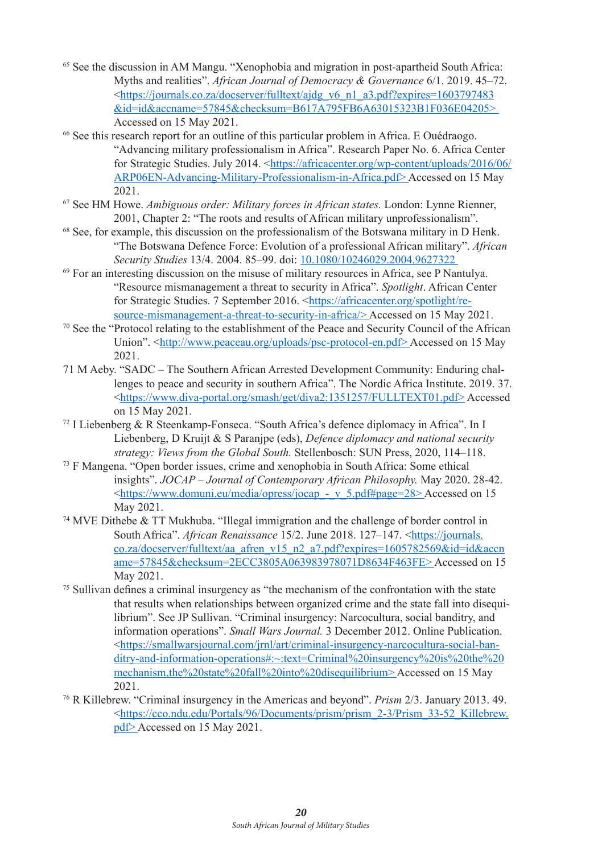- 65 See the discussion in AM Mangu. "Xenophobia and migration in post-apartheid South Africa: Myths and realities". *African Journal of Democracy & Governance* 6/1. 2019. 45–72. <https://journals.co.za/docserver/fulltext/ajdg\_v6\_n1\_a3.pdf?expires=1603797483 &id=id&accname=57845&checksum=B617A795FB6A63015323B1F036E04205>
- $66$  See this research report for an outline of this particular problem in Africa. E Ouédraogo. "Advancing military professionalism in Africa". Research Paper No. 6. Africa Center for Strategic Studies. July 2014. <https://africacenter.org/wp-content/uploads/2016/06/ ARP06EN-Advancing-Military-Professionalism-in-Africa.pdf> Accessed on 15 May
- <sup>67</sup> See HM Howe. *Ambiguous order: Military forces in African states*. London: Lynne Rienner, 2001, Chapter 2: "The roots and results of African military unprofessionalism".
- 68 See, for example, this discussion on the professionalism of the Botswana military in D Henk. "The Botswana Defence Force: Evolution of a professional African military". *African*
- <sup>69</sup> For an interesting discussion on the misuse of military resources in Africa, see P Nantulya. "Resource mismanagement a threat to security in Africa". *Spotlight*. African Center for Strategic Studies. 7 September 2016. <https://africacenter.org/spotlight/re-source-mismanagement-a-threat-to-security-in-africa/>Accessed on 15 Mav 2021.
- $\frac{70}{2}$  See the "Protocol relating to the establishment of the Peace and Security Council of the African Union". <http://www.peaceau.org/uploads/psc-protocol-en.pdf> Accessed on 15 May 2021.
- 71 M Aeby. "SADC The Southern African Arrested Development Community: Enduring challenges to peace and security in southern Africa". The Nordic Africa Institute. 2019. 37. <https://www.diva-portal.org/smash/get/diva2:1351257/FULLTEXT01.pdf> Accessed on 15 May 2021.
- 72 I Liebenberg & R Steenkamp-Fonseca. "South Africa's defence diplomacy in Africa". In I Liebenberg, D Kruijt & S Paranjpe (eds), *Defence diplomacy and national security strategy: Views from the Global South.* Stellenbosch: SUN Press, 2020, 114–118.
- <sup>73</sup> F Mangena. "Open border issues, crime and xenophobia in South Africa: Some ethical insights". *JOCAP – Journal of Contemporary African Philosophy.* May 2020. 28-42. <https://www.domuni.eu/media/opress/jocap\_-\_v\_5.pdf#page=28> Accessed on 15 May 2021.
- <sup>74</sup> MVE Dithebe & TT Mukhuba. "Illegal immigration and the challenge of border control in South Africa". *African Renaissance* 15/2. June 2018. 127–147. <https://journals. co.za/docserver/fulltext/aa\_afren\_v15\_n2\_a7.pdf?expires=1605782569&id=id&accn ame=57845&checksum=2ECC3805A063983978071D8634F463FE> Accessed on 15 May 2021.
- <sup>75</sup> Sullivan defines a criminal insurgency as "the mechanism of the confrontation with the state that results when relationships between organized crime and the state fall into disequilibrium". See JP Sullivan. "Criminal insurgency: Narcocultura, social banditry, and information operations". *Small Wars Journal.* 3 December 2012. Online Publication. <https://smallwarsjournal.com/jrnl/art/criminal-insurgency-narcocultura-social-banditry-and-information-operations#:~:text=Criminal%20insurgency%20is%20the%20 mechanism,the%20state%20fall%20into%20disequilibrium>Accessed on 15 May<br>2021.
- <sup>76</sup> R Killebrew. "Criminal insurgency in the Americas and beyond". *Prism* 2/3. January 2013. 49. <https://cco.ndu.edu/Portals/96/Documents/prism/prism\_2-3/Prism\_33-52\_Killebrew. pdf> Accessed on 15 May 2021.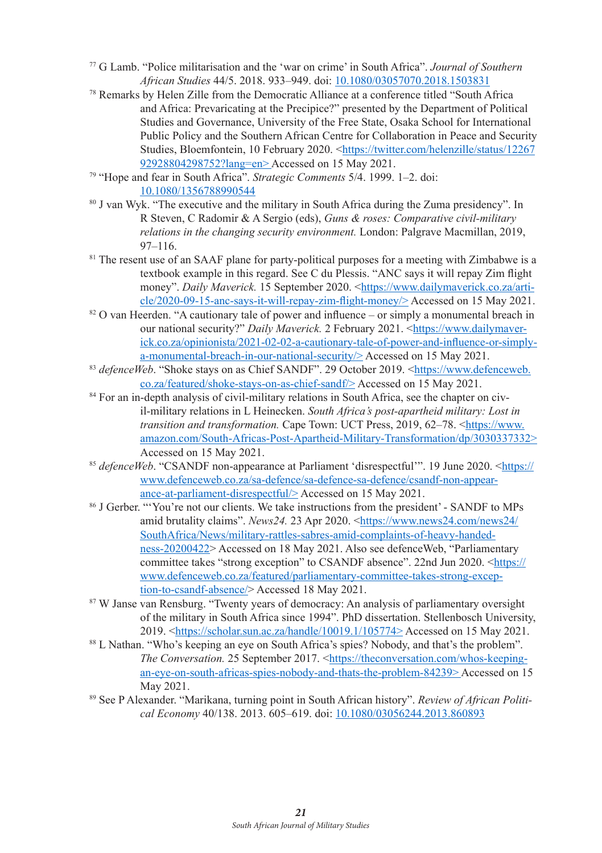- <sup>77</sup> G Lamb. "Police militarisation and the 'war on crime' in South Africa". *Journal of Southern African Studies* 44/5. 2018. 933–949. doi: 10.1080/03057070.2018.1503831
- 78 Remarks by Helen Zille from the Democratic Alliance at a conference titled "South Africa and Africa: Prevaricating at the Precipice?" presented by the Department of Political Studies and Governance, University of the Free State, Osaka School for International Public Policy and the Southern African Centre for Collaboration in Peace and Security Studies, Bloemfontein, 10 February 2020. <https://twitter.com/helenzille/status/12267 92928804298752?lang=en> Accessed on 15 May 2021.
- <sup>79</sup> "Hope and fear in South Africa". *Strategic Comments* 5/4. 1999. 1–2. doi: 10.1080/1356788990544
- 80 J van Wyk. "The executive and the military in South Africa during the Zuma presidency". In R Steven, C Radomir & A Sergio (eds), *Guns & roses: Comparative civil-military relations in the changing security environment.* London: Palgrave Macmillan, 2019, 97–116.
- <sup>81</sup> The resent use of an SAAF plane for party-political purposes for a meeting with Zimbabwe is a textbook example in this regard. See C du Plessis. "ANC says it will repay Zim flight money". *Daily Maverick.* 15 September 2020. <https://www.dailymaverick.co.za/article/2020-09-15-anc-says-it-will-repay-zim-flight-money/> Accessed on 15 May 2021.
- $82$  O van Heerden. "A cautionary tale of power and influence or simply a monumental breach in our national security?" *Daily Maverick.* 2 February 2021. <https://www.dailymaverick.co.za/opinionista/2021-02-02-a-cautionary-tale-of-power-and-influence-or-simplya-monumental-breach-in-our-national-security/> Accessed on 15 May 2021.
- 83 defenceWeb. "Shoke stays on as Chief SANDF". 29 October 2019. <https://www.defenceweb. co.za/featured/shoke-stays-on-as-chief-sandf/> Accessed on 15 May 2021.
- <sup>84</sup> For an in-depth analysis of civil-military relations in South Africa, see the chapter on civil-military relations in L Heinecken. *South Africa's post-apartheid military: Lost in transition and transformation.* Cape Town: UCT Press, 2019, 62–78. <https://www. amazon.com/South-Africas-Post-Apartheid-Military-Transformation/dp/3030337332> Accessed on 15 May 2021.
- <sup>85</sup> defenceWeb. "CSANDF non-appearance at Parliament 'disrespectful'". 19 June 2020. <https:// www.defenceweb.co.za/sa-defence/sa-defence-sa-defence/csandf-non-appearance-at-parliament-disrespectful/> Accessed on 15 May 2021.
- 86 J Gerber. "'You're not our clients. We take instructions from the president' SANDF to MPs amid brutality claims". *News24.* 23 Apr 2020. <https://www.news24.com/news24/ SouthAfrica/News/military-rattles-sabres-amid-complaints-of-heavy-handedness-20200422> Accessed on 18 May 2021. Also see defenceWeb, "Parliamentary committee takes "strong exception" to CSANDF absence". 22nd Jun 2020. <https:// www.defenceweb.co.za/featured/parliamentary-committee-takes-strong-exception-to-csandf-absence/> Accessed 18 May 2021.
- <sup>87</sup> W Janse van Rensburg. "Twenty years of democracy: An analysis of parliamentary oversight of the military in South Africa since 1994". PhD dissertation. Stellenbosch University, 2019. <https://scholar.sun.ac.za/handle/10019.1/105774> Accessed on 15 May 2021.
- <sup>88</sup> L Nathan. "Who's keeping an eye on South Africa's spies? Nobody, and that's the problem". *The Conversation.* 25 September 2017. <https://theconversation.com/whos-keepingan-eye-on-south-africas-spies-nobody-and-thats-the-problem-84239> Accessed on 15 May 2021.
- 89 See P Alexander. "Marikana, turning point in South African history". *Review of African Political Economy* 40/138. 2013. 605–619. doi: 10.1080/03056244.2013.860893